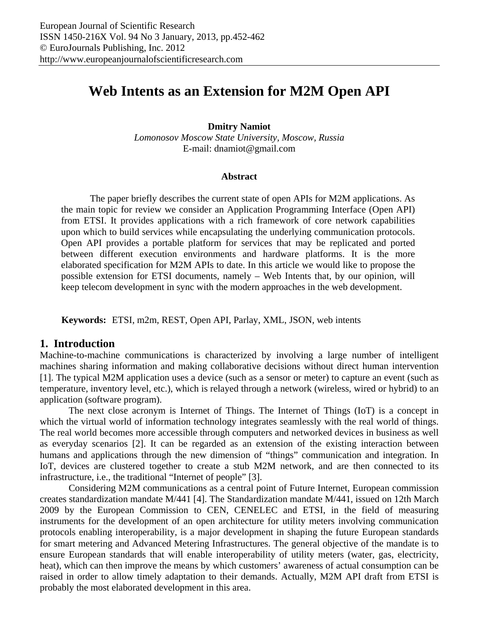# **Web Intents as an Extension for M2M Open API**

**Dmitry Namiot** 

*Lomonosov Moscow State University, Moscow, Russia*  E-mail: dnamiot@gmail.com

#### **Abstract**

The paper briefly describes the current state of open APIs for M2M applications. As the main topic for review we consider an Application Programming Interface (Open API) from ETSI. It provides applications with a rich framework of core network capabilities upon which to build services while encapsulating the underlying communication protocols. Open API provides a portable platform for services that may be replicated and ported between different execution environments and hardware platforms. It is the more elaborated specification for M2M APIs to date. In this article we would like to propose the possible extension for ETSI documents, namely – Web Intents that, by our opinion, will keep telecom development in sync with the modern approaches in the web development.

**Keywords:** ETSI, m2m, REST, Open API, Parlay, XML, JSON, web intents

## **1. Introduction**

Machine-to-machine communications is characterized by involving a large number of intelligent machines sharing information and making collaborative decisions without direct human intervention [1]. The typical M2M application uses a device (such as a sensor or meter) to capture an event (such as temperature, inventory level, etc.), which is relayed through a network (wireless, wired or hybrid) to an application (software program).

The next close acronym is Internet of Things. The Internet of Things (IoT) is a concept in which the virtual world of information technology integrates seamlessly with the real world of things. The real world becomes more accessible through computers and networked devices in business as well as everyday scenarios [2]. It can be regarded as an extension of the existing interaction between humans and applications through the new dimension of "things" communication and integration. In IoT, devices are clustered together to create a stub M2M network, and are then connected to its infrastructure, i.e., the traditional "Internet of people" [3].

Considering M2M communications as a central point of Future Internet, European commission creates standardization mandate M/441 [4]. The Standardization mandate M/441, issued on 12th March 2009 by the European Commission to CEN, CENELEC and ETSI, in the field of measuring instruments for the development of an open architecture for utility meters involving communication protocols enabling interoperability, is a major development in shaping the future European standards for smart metering and Advanced Metering Infrastructures. The general objective of the mandate is to ensure European standards that will enable interoperability of utility meters (water, gas, electricity, heat), which can then improve the means by which customers' awareness of actual consumption can be raised in order to allow timely adaptation to their demands. Actually, M2M API draft from ETSI is probably the most elaborated development in this area.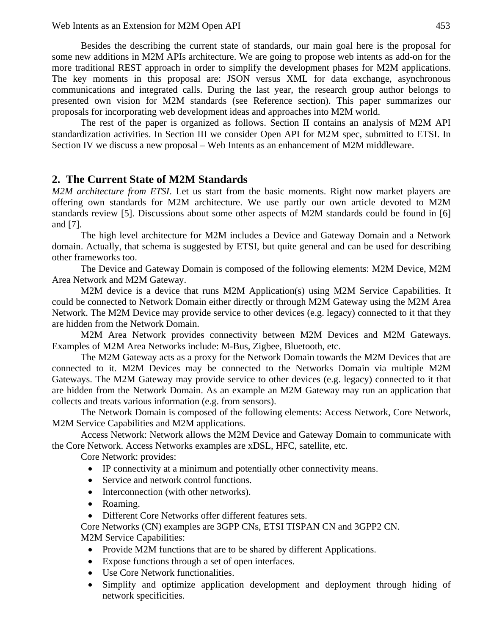Besides the describing the current state of standards, our main goal here is the proposal for some new additions in M2M APIs architecture. We are going to propose web intents as add-on for the more traditional REST approach in order to simplify the development phases for M2M applications. The key moments in this proposal are: JSON versus XML for data exchange, asynchronous communications and integrated calls. During the last year, the research group author belongs to presented own vision for M2M standards (see Reference section). This paper summarizes our proposals for incorporating web development ideas and approaches into M2M world.

The rest of the paper is organized as follows. Section II contains an analysis of M2M API standardization activities. In Section III we consider Open API for M2M spec, submitted to ETSI. In Section IV we discuss a new proposal – Web Intents as an enhancement of M2M middleware.

### **2. The Current State of M2M Standards**

*M2M architecture from ETSI*. Let us start from the basic moments. Right now market players are offering own standards for M2M architecture. We use partly our own article devoted to M2M standards review [5]. Discussions about some other aspects of M2M standards could be found in [6] and [7].

The high level architecture for M2M includes a Device and Gateway Domain and a Network domain. Actually, that schema is suggested by ETSI, but quite general and can be used for describing other frameworks too.

The Device and Gateway Domain is composed of the following elements: M2M Device, M2M Area Network and M2M Gateway.

M2M device is a device that runs M2M Application(s) using M2M Service Capabilities. It could be connected to Network Domain either directly or through M2M Gateway using the M2M Area Network. The M2M Device may provide service to other devices (e.g. legacy) connected to it that they are hidden from the Network Domain.

M2M Area Network provides connectivity between M2M Devices and M2M Gateways. Examples of M2M Area Networks include: M-Bus, Zigbee, Bluetooth, etc.

The M2M Gateway acts as a proxy for the Network Domain towards the M2M Devices that are connected to it. M2M Devices may be connected to the Networks Domain via multiple M2M Gateways. The M2M Gateway may provide service to other devices (e.g. legacy) connected to it that are hidden from the Network Domain. As an example an M2M Gateway may run an application that collects and treats various information (e.g. from sensors).

The Network Domain is composed of the following elements: Access Network, Core Network, M2M Service Capabilities and M2M applications.

Access Network: Network allows the M2M Device and Gateway Domain to communicate with the Core Network. Access Networks examples are xDSL, HFC, satellite, etc.

Core Network: provides:

- IP connectivity at a minimum and potentially other connectivity means.
- Service and network control functions.
- Interconnection (with other networks).
- Roaming.
- Different Core Networks offer different features sets.

Core Networks (CN) examples are 3GPP CNs, ETSI TISPAN CN and 3GPP2 CN. M2M Service Capabilities:

- Provide M2M functions that are to be shared by different Applications.
- Expose functions through a set of open interfaces.
- Use Core Network functionalities.
- Simplify and optimize application development and deployment through hiding of network specificities.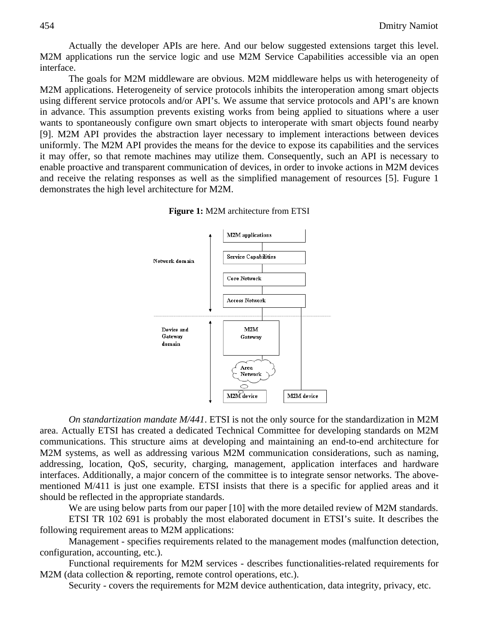Actually the developer APIs are here. And our below suggested extensions target this level. M2M applications run the service logic and use M2M Service Capabilities accessible via an open interface.

The goals for M2M middleware are obvious. M2M middleware helps us with heterogeneity of M2M applications. Heterogeneity of service protocols inhibits the interoperation among smart objects using different service protocols and/or API's. We assume that service protocols and API's are known in advance. This assumption prevents existing works from being applied to situations where a user wants to spontaneously configure own smart objects to interoperate with smart objects found nearby [9]. M2M API provides the abstraction layer necessary to implement interactions between devices uniformly. The M2M API provides the means for the device to expose its capabilities and the services it may offer, so that remote machines may utilize them. Consequently, such an API is necessary to enable proactive and transparent communication of devices, in order to invoke actions in M2M devices and receive the relating responses as well as the simplified management of resources [5]. Fugure 1 demonstrates the high level architecture for M2M.



**Figure 1:** M2M architecture from ETSI

*On standartization mandate M/441*. ETSI is not the only source for the standardization in M2M area. Actually ETSI has created a dedicated Technical Committee for developing standards on M2M communications. This structure aims at developing and maintaining an end-to-end architecture for M2M systems, as well as addressing various M2M communication considerations, such as naming, addressing, location, QoS, security, charging, management, application interfaces and hardware interfaces. Additionally, a major concern of the committee is to integrate sensor networks. The abovementioned M/411 is just one example. ETSI insists that there is a specific for applied areas and it should be reflected in the appropriate standards.

We are using below parts from our paper [10] with the more detailed review of M2M standards.

ETSI TR 102 691 is probably the most elaborated document in ETSI's suite. It describes the following requirement areas to M2M applications:

Management - specifies requirements related to the management modes (malfunction detection, configuration, accounting, etc.).

Functional requirements for M2M services - describes functionalities-related requirements for M2M (data collection & reporting, remote control operations, etc.).

Security - covers the requirements for M2M device authentication, data integrity, privacy, etc.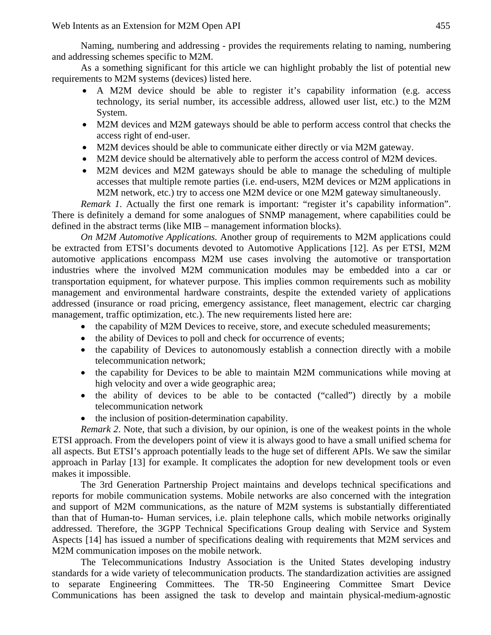Naming, numbering and addressing - provides the requirements relating to naming, numbering and addressing schemes specific to M2M.

As a something significant for this article we can highlight probably the list of potential new requirements to M2M systems (devices) listed here.

- A M2M device should be able to register it's capability information (e.g. access technology, its serial number, its accessible address, allowed user list, etc.) to the M2M System.
- M2M devices and M2M gateways should be able to perform access control that checks the access right of end-user.
- M2M devices should be able to communicate either directly or via M2M gateway.
- M2M device should be alternatively able to perform the access control of M2M devices.
- M2M devices and M2M gateways should be able to manage the scheduling of multiple accesses that multiple remote parties (i.e. end-users, M2M devices or M2M applications in M2M network, etc.) try to access one M2M device or one M2M gateway simultaneously.

*Remark 1*. Actually the first one remark is important: "register it's capability information". There is definitely a demand for some analogues of SNMP management, where capabilities could be defined in the abstract terms (like MIB – management information blocks).

*On M2M Automotive Applications.* Another group of requirements to M2M applications could be extracted from ETSI's documents devoted to Automotive Applications [12]. As per ETSI, M2M automotive applications encompass M2M use cases involving the automotive or transportation industries where the involved M2M communication modules may be embedded into a car or transportation equipment, for whatever purpose. This implies common requirements such as mobility management and environmental hardware constraints, despite the extended variety of applications addressed (insurance or road pricing, emergency assistance, fleet management, electric car charging management, traffic optimization, etc.). The new requirements listed here are:

- the capability of M2M Devices to receive, store, and execute scheduled measurements;
- the ability of Devices to poll and check for occurrence of events;
- the capability of Devices to autonomously establish a connection directly with a mobile telecommunication network;
- the capability for Devices to be able to maintain M2M communications while moving at high velocity and over a wide geographic area;
- the ability of devices to be able to be contacted ("called") directly by a mobile telecommunication network
- the inclusion of position-determination capability.

*Remark 2*. Note, that such a division, by our opinion, is one of the weakest points in the whole ETSI approach. From the developers point of view it is always good to have a small unified schema for all aspects. But ETSI's approach potentially leads to the huge set of different APIs. We saw the similar approach in Parlay [13] for example. It complicates the adoption for new development tools or even makes it impossible.

The 3rd Generation Partnership Project maintains and develops technical specifications and reports for mobile communication systems. Mobile networks are also concerned with the integration and support of M2M communications, as the nature of M2M systems is substantially differentiated than that of Human-to- Human services, i.e. plain telephone calls, which mobile networks originally addressed. Therefore, the 3GPP Technical Specifications Group dealing with Service and System Aspects [14] has issued a number of specifications dealing with requirements that M2M services and M2M communication imposes on the mobile network.

The Telecommunications Industry Association is the United States developing industry standards for a wide variety of telecommunication products. The standardization activities are assigned to separate Engineering Committees. The TR-50 Engineering Committee Smart Device Communications has been assigned the task to develop and maintain physical-medium-agnostic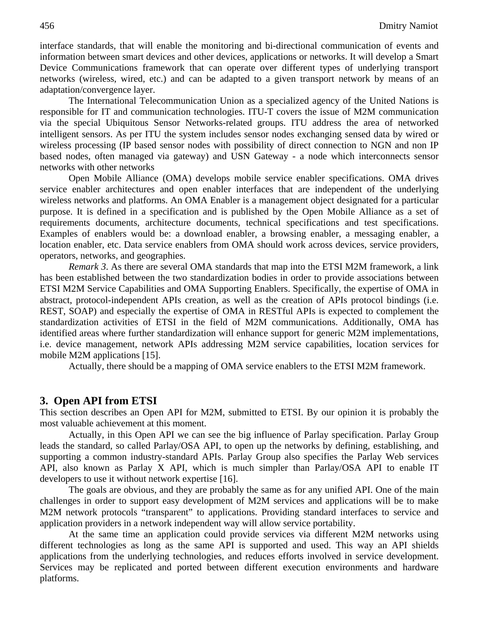interface standards, that will enable the monitoring and bi-directional communication of events and information between smart devices and other devices, applications or networks. It will develop a Smart Device Communications framework that can operate over different types of underlying transport networks (wireless, wired, etc.) and can be adapted to a given transport network by means of an adaptation/convergence layer.

The International Telecommunication Union as a specialized agency of the United Nations is responsible for IT and communication technologies. ITU-T covers the issue of M2M communication via the special Ubiquitous Sensor Networks-related groups. ITU address the area of networked intelligent sensors. As per ITU the system includes sensor nodes exchanging sensed data by wired or wireless processing (IP based sensor nodes with possibility of direct connection to NGN and non IP based nodes, often managed via gateway) and USN Gateway - a node which interconnects sensor networks with other networks

Open Mobile Alliance (OMA) develops mobile service enabler specifications. OMA drives service enabler architectures and open enabler interfaces that are independent of the underlying wireless networks and platforms. An OMA Enabler is a management object designated for a particular purpose. It is defined in a specification and is published by the Open Mobile Alliance as a set of requirements documents, architecture documents, technical specifications and test specifications. Examples of enablers would be: a download enabler, a browsing enabler, a messaging enabler, a location enabler, etc. Data service enablers from OMA should work across devices, service providers, operators, networks, and geographies.

*Remark 3*. As there are several OMA standards that map into the ETSI M2M framework, a link has been established between the two standardization bodies in order to provide associations between ETSI M2M Service Capabilities and OMA Supporting Enablers. Specifically, the expertise of OMA in abstract, protocol-independent APIs creation, as well as the creation of APIs protocol bindings (i.e. REST, SOAP) and especially the expertise of OMA in RESTful APIs is expected to complement the standardization activities of ETSI in the field of M2M communications. Additionally, OMA has identified areas where further standardization will enhance support for generic M2M implementations, i.e. device management, network APIs addressing M2M service capabilities, location services for mobile M2M applications [15].

Actually, there should be a mapping of OMA service enablers to the ETSI M2M framework.

#### **3. Open API from ETSI**

This section describes an Open API for M2M, submitted to ETSI. By our opinion it is probably the most valuable achievement at this moment.

Actually, in this Open API we can see the big influence of Parlay specification. Parlay Group leads the standard, so called Parlay/OSA API, to open up the networks by defining, establishing, and supporting a common industry-standard APIs. Parlay Group also specifies the Parlay Web services API, also known as Parlay X API, which is much simpler than Parlay/OSA API to enable IT developers to use it without network expertise [16].

The goals are obvious, and they are probably the same as for any unified API. One of the main challenges in order to support easy development of M2M services and applications will be to make M2M network protocols "transparent" to applications. Providing standard interfaces to service and application providers in a network independent way will allow service portability.

At the same time an application could provide services via different M2M networks using different technologies as long as the same API is supported and used. This way an API shields applications from the underlying technologies, and reduces efforts involved in service development. Services may be replicated and ported between different execution environments and hardware platforms.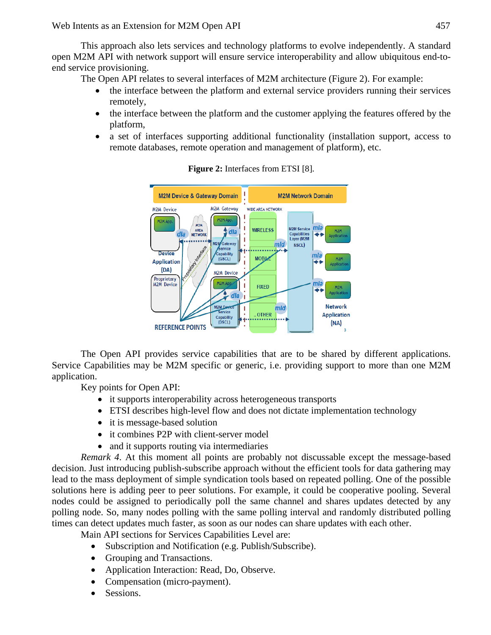This approach also lets services and technology platforms to evolve independently. A standard open M2M API with network support will ensure service interoperability and allow ubiquitous end-toend service provisioning.

The Open API relates to several interfaces of M2M architecture (Figure 2). For example:

- the interface between the platform and external service providers running their services remotely,
- the interface between the platform and the customer applying the features offered by the platform,
- a set of interfaces supporting additional functionality (installation support, access to remote databases, remote operation and management of platform), etc.



**Figure 2:** Interfaces from ETSI [8].

The Open API provides service capabilities that are to be shared by different applications. Service Capabilities may be M2M specific or generic, i.e. providing support to more than one M2M application.

Key points for Open API:

- it supports interoperability across heterogeneous transports
- ETSI describes high-level flow and does not dictate implementation technology
- it is message-based solution
- it combines P2P with client-server model
- and it supports routing via intermediaries

*Remark 4*. At this moment all points are probably not discussable except the message-based decision. Just introducing publish-subscribe approach without the efficient tools for data gathering may lead to the mass deployment of simple syndication tools based on repeated polling. One of the possible solutions here is adding peer to peer solutions. For example, it could be cooperative pooling. Several nodes could be assigned to periodically poll the same channel and shares updates detected by any polling node. So, many nodes polling with the same polling interval and randomly distributed polling times can detect updates much faster, as soon as our nodes can share updates with each other.

Main API sections for Services Capabilities Level are:

- Subscription and Notification (e.g. Publish/Subscribe).
- Grouping and Transactions.
- Application Interaction: Read, Do, Observe.
- Compensation (micro-payment).
- Sessions.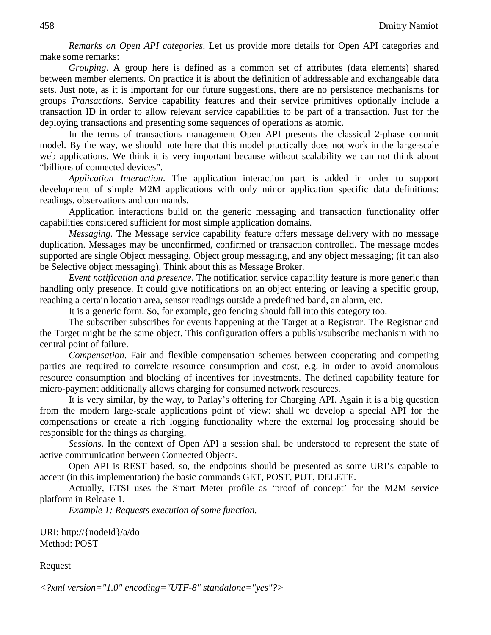*Remarks on Open API categories*. Let us provide more details for Open API categories and make some remarks:

*Grouping*. A group here is defined as a common set of attributes (data elements) shared between member elements. On practice it is about the definition of addressable and exchangeable data sets. Just note, as it is important for our future suggestions, there are no persistence mechanisms for groups *Transactions*. Service capability features and their service primitives optionally include a transaction ID in order to allow relevant service capabilities to be part of a transaction. Just for the deploying transactions and presenting some sequences of operations as atomic.

In the terms of transactions management Open API presents the classical 2-phase commit model. By the way, we should note here that this model practically does not work in the large-scale web applications. We think it is very important because without scalability we can not think about "billions of connected devices".

*Application Interaction*. The application interaction part is added in order to support development of simple M2M applications with only minor application specific data definitions: readings, observations and commands.

Application interactions build on the generic messaging and transaction functionality offer capabilities considered sufficient for most simple application domains.

*Messaging*. The Message service capability feature offers message delivery with no message duplication. Messages may be unconfirmed, confirmed or transaction controlled. The message modes supported are single Object messaging, Object group messaging, and any object messaging; (it can also be Selective object messaging). Think about this as Message Broker.

*Event notification and presence*. The notification service capability feature is more generic than handling only presence. It could give notifications on an object entering or leaving a specific group, reaching a certain location area, sensor readings outside a predefined band, an alarm, etc.

It is a generic form. So, for example, geo fencing should fall into this category too.

The subscriber subscribes for events happening at the Target at a Registrar. The Registrar and the Target might be the same object. This configuration offers a publish/subscribe mechanism with no central point of failure.

*Compensation*. Fair and flexible compensation schemes between cooperating and competing parties are required to correlate resource consumption and cost, e.g. in order to avoid anomalous resource consumption and blocking of incentives for investments. The defined capability feature for micro-payment additionally allows charging for consumed network resources.

It is very similar, by the way, to Parlay's offering for Charging API. Again it is a big question from the modern large-scale applications point of view: shall we develop a special API for the compensations or create a rich logging functionality where the external log processing should be responsible for the things as charging.

*Sessions*. In the context of Open API a session shall be understood to represent the state of active communication between Connected Objects.

Open API is REST based, so, the endpoints should be presented as some URI's capable to accept (in this implementation) the basic commands GET, POST, PUT, DELETE.

Actually, ETSI uses the Smart Meter profile as 'proof of concept' for the M2M service platform in Release 1.

*Example 1: Requests execution of some function.* 

URI: http://{nodeId}/a/do Method: POST

Request

*<?xml version="1.0" encoding="UTF-8" standalone="yes"?>*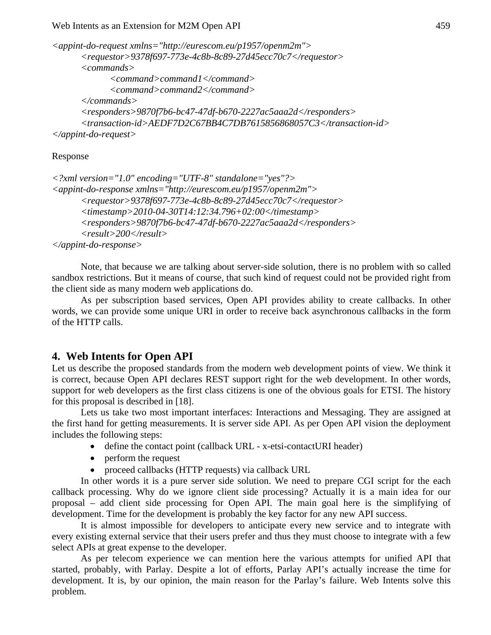*<appint-do-request xmlns="http://eurescom.eu/p1957/openm2m"> <requestor>9378f697-773e-4c8b-8c89-27d45ecc70c7</requestor> <commands> <command>command1</command> <command>command2</command> </commands> <responders>9870f7b6-bc47-47df-b670-2227ac5aaa2d</responders> <transaction-id>AEDF7D2C67BB4C7DB7615856868057C3</transaction-id> </appint-do-request>* 

#### Response

```
<?xml version="1.0" encoding="UTF-8" standalone="yes"?> 
<appint-do-response xmlns="http://eurescom.eu/p1957/openm2m"> 
      <requestor>9378f697-773e-4c8b-8c89-27d45ecc70c7</requestor> 
      <timestamp>2010-04-30T14:12:34.796+02:00</timestamp> 
      <responders>9870f7b6-bc47-47df-b670-2227ac5aaa2d</responders> 
      <result>200</result> 
</appint-do-response>
```
Note, that because we are talking about server-side solution, there is no problem with so called sandbox restrictions. But it means of course, that such kind of request could not be provided right from the client side as many modern web applications do.

As per subscription based services, Open API provides ability to create callbacks. In other words, we can provide some unique URI in order to receive back asynchronous callbacks in the form of the HTTP calls.

# **4. Web Intents for Open API**

Let us describe the proposed standards from the modern web development points of view. We think it is correct, because Open API declares REST support right for the web development. In other words, support for web developers as the first class citizens is one of the obvious goals for ETSI. The history for this proposal is described in [18].

Lets us take two most important interfaces: Interactions and Messaging. They are assigned at the first hand for getting measurements. It is server side API. As per Open API vision the deployment includes the following steps:

- define the contact point (callback URL x-etsi-contactURI header)
- perform the request
- proceed callbacks (HTTP requests) via callback URL

In other words it is a pure server side solution. We need to prepare CGI script for the each callback processing. Why do we ignore client side processing? Actually it is a main idea for our proposal – add client side processing for Open API. The main goal here is the simplifying of development. Time for the development is probably the key factor for any new API success.

It is almost impossible for developers to anticipate every new service and to integrate with every existing external service that their users prefer and thus they must choose to integrate with a few select APIs at great expense to the developer.

As per telecom experience we can mention here the various attempts for unified API that started, probably, with Parlay. Despite a lot of efforts, Parlay API's actually increase the time for development. It is, by our opinion, the main reason for the Parlay's failure. Web Intents solve this problem.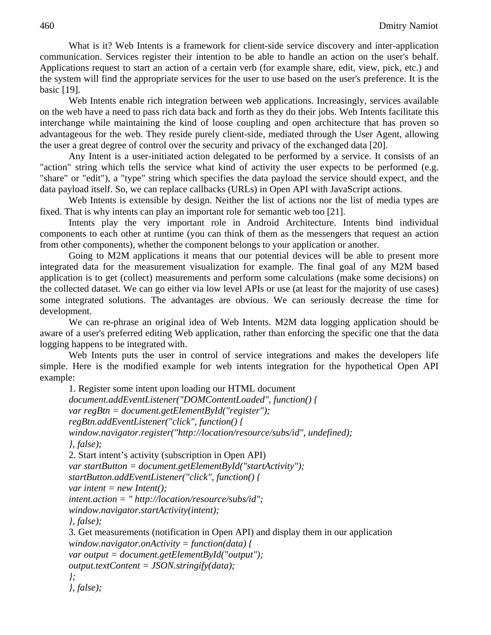What is it? Web Intents is a framework for client-side service discovery and inter-application communication. Services register their intention to be able to handle an action on the user's behalf. Applications request to start an action of a certain verb (for example share, edit, view, pick, etc.) and the system will find the appropriate services for the user to use based on the user's preference. It is the basic [19].

Web Intents enable rich integration between web applications. Increasingly, services available on the web have a need to pass rich data back and forth as they do their jobs. Web Intents facilitate this interchange while maintaining the kind of loose coupling and open architecture that has proven so advantageous for the web. They reside purely client-side, mediated through the User Agent, allowing the user a great degree of control over the security and privacy of the exchanged data [20].

Any Intent is a user-initiated action delegated to be performed by a service. It consists of an "action" string which tells the service what kind of activity the user expects to be performed (e.g. "share" or "edit"), a "type" string which specifies the data payload the service should expect, and the data payload itself. So, we can replace callbacks (URLs) in Open API with JavaScript actions.

Web Intents is extensible by design. Neither the list of actions nor the list of media types are fixed. That is why intents can play an important role for semantic web too [21].

Intents play the very important role in Android Architecture. Intents bind individual components to each other at runtime (you can think of them as the messengers that request an action from other components), whether the component belongs to your application or another.

Going to M2M applications it means that our potential devices will be able to present more integrated data for the measurement visualization for example. The final goal of any M2M based application is to get (collect) measurements and perform some calculations (make some decisions) on the collected dataset. We can go either via low level APIs or use (at least for the majority of use cases) some integrated solutions. The advantages are obvious. We can seriously decrease the time for development.

We can re-phrase an original idea of Web Intents. M2M data logging application should be aware of a user's preferred editing Web application, rather than enforcing the specific one that the data logging happens to be integrated with.

Web Intents puts the user in control of service integrations and makes the developers life simple. Here is the modified example for web intents integration for the hypothetical Open API example:

```
1. Register some intent upon loading our HTML document 
document.addEventListener("DOMContentLoaded", function() { 
var regBtn = document.getElementById("register"); 
regBtn.addEventListener("click", function() { 
window.navigator.register("http://location/resource/subs/id", undefined); 
}, false); 
2. Start intent's activity (subscription in Open API) 
var startButton = document.getElementById("startActivity"); 
startButton.addEventListener("click", function() { 
var intent = new Intent(); 
intent.action = " http://location/resource/subs/id"; 
window.navigator.startActivity(intent); 
}, false); 
3. Get measurements (notification in Open API) and display them in our application 
window.navigator.onActivity = function(data) { 
var output = document.getElementById("output"); 
output.textContent = JSON.stringify(data); 
}; 
}, false);
```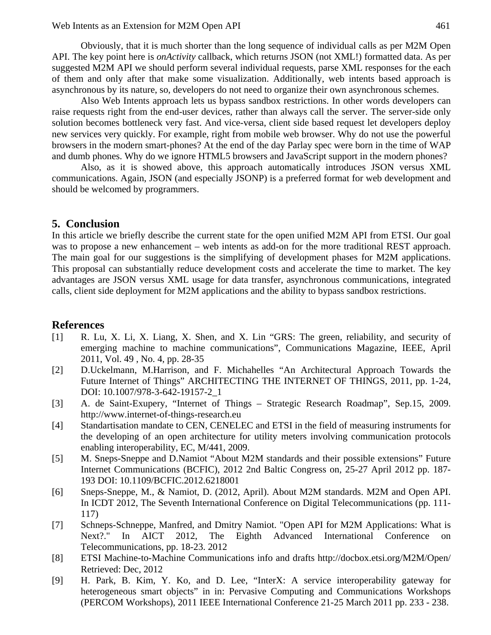Obviously, that it is much shorter than the long sequence of individual calls as per M2M Open API. The key point here is *onActivity* callback, which returns JSON (not XML!) formatted data. As per suggested M2M API we should perform several individual requests, parse XML responses for the each of them and only after that make some visualization. Additionally, web intents based approach is asynchronous by its nature, so, developers do not need to organize their own asynchronous schemes.

Also Web Intents approach lets us bypass sandbox restrictions. In other words developers can raise requests right from the end-user devices, rather than always call the server. The server-side only solution becomes bottleneck very fast. And vice-versa, client side based request let developers deploy new services very quickly. For example, right from mobile web browser. Why do not use the powerful browsers in the modern smart-phones? At the end of the day Parlay spec were born in the time of WAP and dumb phones. Why do we ignore HTML5 browsers and JavaScript support in the modern phones?

Also, as it is showed above, this approach automatically introduces JSON versus XML communications. Again, JSON (and especially JSONP) is a preferred format for web development and should be welcomed by programmers.

#### **5. Conclusion**

In this article we briefly describe the current state for the open unified M2M API from ETSI. Our goal was to propose a new enhancement – web intents as add-on for the more traditional REST approach. The main goal for our suggestions is the simplifying of development phases for M2M applications. This proposal can substantially reduce development costs and accelerate the time to market. The key advantages are JSON versus XML usage for data transfer, asynchronous communications, integrated calls, client side deployment for M2M applications and the ability to bypass sandbox restrictions.

#### **References**

- [1] R. Lu, X. Li, X. Liang, X. Shen, and X. Lin "GRS: The green, reliability, and security of emerging machine to machine communications", Communications Magazine, IEEE, April 2011, Vol. 49 , No. 4, pp. 28-35
- [2] D.Uckelmann, M.Harrison, and F. Michahelles "An Architectural Approach Towards the Future Internet of Things" ARCHITECTING THE INTERNET OF THINGS, 2011, pp. 1-24, DOI: 10.1007/978-3-642-19157-2\_1
- [3] A. de Saint-Exupery, "Internet of Things Strategic Research Roadmap", Sep.15, 2009. http://www.internet-of-things-research.eu
- [4] Standartisation mandate to CEN, CENELEC and ETSI in the field of measuring instruments for the developing of an open architecture for utility meters involving communication protocols enabling interoperability, EC, M/441, 2009.
- [5] M. Sneps-Sneppe and D.Namiot "About M2M standards and their possible extensions" Future Internet Communications (BCFIC), 2012 2nd Baltic Congress on, 25-27 April 2012 pp. 187- 193 DOI: 10.1109/BCFIC.2012.6218001
- [6] Sneps-Sneppe, M., & Namiot, D. (2012, April). About M2M standards. M2M and Open API. In ICDT 2012, The Seventh International Conference on Digital Telecommunications (pp. 111- 117)
- [7] Schneps-Schneppe, Manfred, and Dmitry Namiot. "Open API for M2M Applications: What is Next?." In AICT 2012, The Eighth Advanced International Conference on Telecommunications, pp. 18-23. 2012
- [8] ETSI Machine-to-Machine Communications info and drafts http://docbox.etsi.org/M2M/Open/ Retrieved: Dec, 2012
- [9] H. Park, B. Kim, Y. Ko, and D. Lee, "InterX: A service interoperability gateway for heterogeneous smart objects" in in: Pervasive Computing and Communications Workshops (PERCOM Workshops), 2011 IEEE International Conference 21-25 March 2011 pp. 233 - 238.